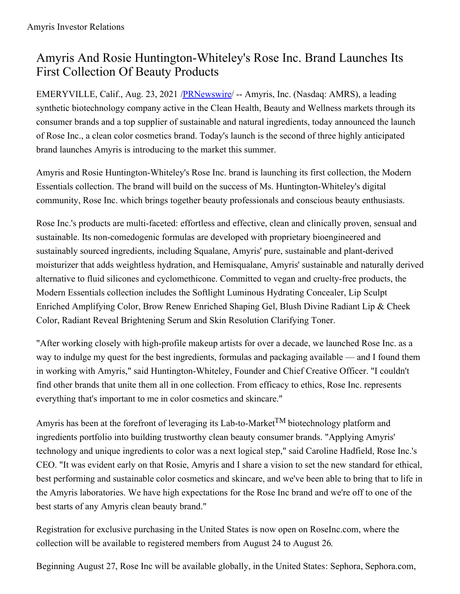# Amyris And Rosie Huntington-Whiteley's Rose Inc. Brand Launches Its First Collection Of Beauty Products

EMERYVILLE, Calif., Aug. 23, 2021 /**PRNewswire/** -- Amyris, Inc. (Nasdaq: AMRS), a leading synthetic biotechnology company active in the Clean Health, Beauty and Wellness markets through its consumer brands and a top supplier of sustainable and natural ingredients, today announced the launch of Rose Inc., a clean color cosmetics brand. Today's launch is the second of three highly anticipated brand launches Amyris is introducing to the market this summer.

Amyris and Rosie Huntington-Whiteley's Rose Inc. brand is launching its first collection, the Modern Essentials collection. The brand will build on the success of Ms. Huntington-Whiteley's digital community, Rose Inc. which brings together beauty professionals and conscious beauty enthusiasts.

Rose Inc.'s products are multi-faceted: effortless and effective, clean and clinically proven, sensual and sustainable. Its non-comedogenic formulas are developed with proprietary bioengineered and sustainably sourced ingredients, including Squalane, Amyris' pure, sustainable and plant-derived moisturizer that adds weightless hydration, and Hemisqualane, Amyris' sustainable and naturally derived alternative to fluid silicones and cyclomethicone. Committed to vegan and cruelty-free products, the Modern Essentials collection includes the Softlight Luminous Hydrating Concealer, Lip Sculpt Enriched Amplifying Color, Brow Renew Enriched Shaping Gel, Blush Divine Radiant Lip & Cheek Color, Radiant Reveal Brightening Serum and Skin Resolution Clarifying Toner.

"After working closely with high-profile makeup artists for over a decade, we launched Rose Inc. as a way to indulge my quest for the best ingredients, formulas and packaging available — and I found them in working with Amyris," said Huntington-Whiteley, Founder and Chief Creative Officer. "I couldn't find other brands that unite them all in one collection. From efficacy to ethics, Rose Inc. represents everything that's important to me in color cosmetics and skincare."

Amyris has been at the forefront of leveraging its Lab-to-Market<sup>TM</sup> biotechnology platform and ingredients portfolio into building trustworthy clean beauty consumer brands. "Applying Amyris' technology and unique ingredients to color was a next logical step," said Caroline Hadfield, Rose Inc.'s CEO. "It was evident early on that Rosie, Amyris and I share a vision to set the new standard for ethical, best performing and sustainable color cosmetics and skincare, and we've been able to bring that to life in the Amyris laboratories. We have high expectations for the Rose Inc brand and we're off to one of the best starts of any Amyris clean beauty brand."

Registration for exclusive purchasing in the United States is now open on RoseInc.com, where the collection will be available to registered members from August 24 to August 26.

Beginning August 27, Rose Inc will be available globally, in the United States: Sephora, Sephora.com,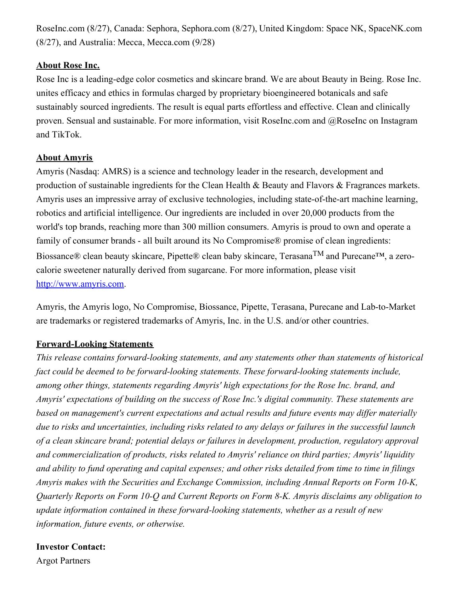RoseInc.com (8/27), Canada: Sephora, Sephora.com (8/27), United Kingdom: Space NK, SpaceNK.com (8/27), and Australia: Mecca, Mecca.com (9/28)

#### **About Rose Inc.**

Rose Inc is a leading-edge color cosmetics and skincare brand. We are about Beauty in Being. Rose Inc. unites efficacy and ethics in formulas charged by proprietary bioengineered botanicals and safe sustainably sourced ingredients. The result is equal parts effortless and effective. Clean and clinically proven. Sensual and sustainable. For more information, visit RoseInc.com and @RoseInc on Instagram and TikTok.

#### **About Amyris**

Amyris (Nasdaq: AMRS) is a science and technology leader in the research, development and production of sustainable ingredients for the Clean Health & Beauty and Flavors & Fragrances markets. Amyris uses an impressive array of exclusive technologies, including state-of-the-art machine learning, robotics and artificial intelligence. Our ingredients are included in over 20,000 products from the world's top brands, reaching more than 300 million consumers. Amyris is proud to own and operate a family of consumer brands - all built around its No Compromise® promise of clean ingredients: Biossance® clean beauty skincare, Pipette® clean baby skincare, Terasana<sup>TM</sup> and Purecane<sup>™</sup>, a zerocalorie sweetener naturally derived from sugarcane. For more information, please visit [http://www.amyris.com](https://c212.net/c/link/?t=0&l=en&o=3267050-1&h=1815079129&u=http%3A%2F%2Fwww.amyris.com%2F&a=http%3A%2F%2Fwww.amyris.com).

Amyris, the Amyris logo, No Compromise, Biossance, Pipette, Terasana, Purecane and Lab-to-Market are trademarks or registered trademarks of Amyris, Inc. in the U.S. and/or other countries.

## **Forward-Looking Statements**

*This release contains forward-looking statements, and any statements other than statements of historical fact could be deemed to be forward-looking statements. These forward-looking statements include, among other things, statements regarding Amyris' high expectations for the Rose Inc. brand, and Amyris' expectations of building on the success of Rose Inc.'s digital community. These statements are based on management's current expectations and actual results and future events may dif er materially* due to risks and uncertainties, including risks related to any delays or failures in the successful launch *of a clean skincare brand; potential delays or failures in development, production, regulatory approval and commercialization of products, risks related to Amyris' reliance on third parties; Amyris' liquidity* and ability to fund operating and capital expenses; and other risks detailed from time to time in filings *Amyris makes with the Securities and Exchange Commission, including Annual Reports on Form 10-K, Quarterly Reports on Form 10-Q and Current Reports on Form 8-K. Amyris disclaims any obligation to update information contained in these forward-looking statements, whether as a result of new information, future events, or otherwise.*

## **Investor Contact:**

Argot Partners